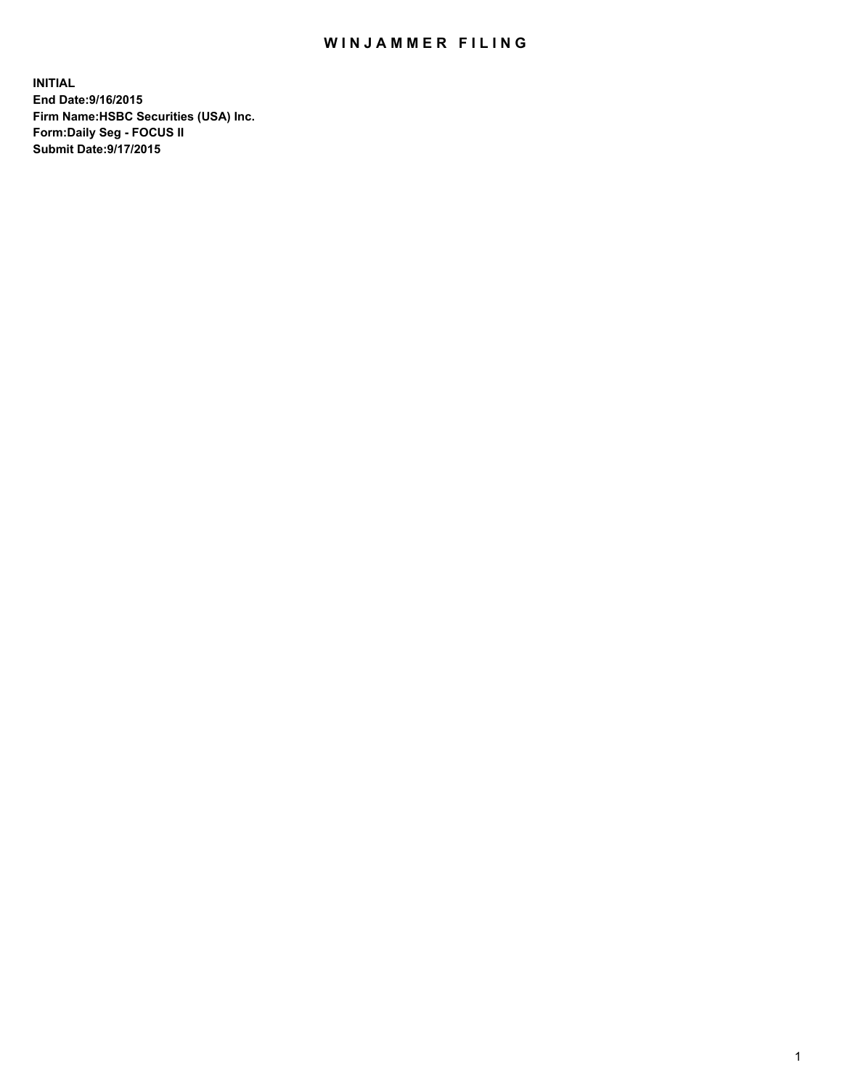## WIN JAMMER FILING

**INITIAL End Date:9/16/2015 Firm Name:HSBC Securities (USA) Inc. Form:Daily Seg - FOCUS II Submit Date:9/17/2015**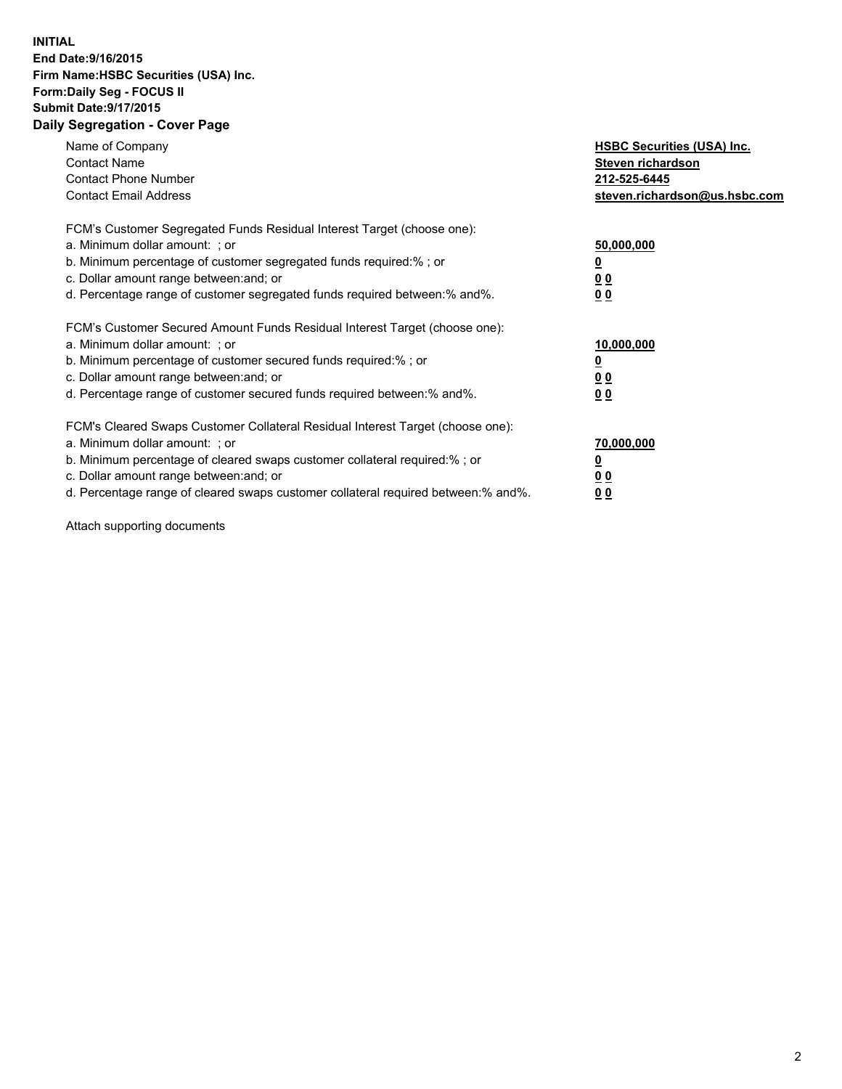## **INITIAL End Date:9/16/2015 Firm Name:HSBC Securities (USA) Inc. Form:Daily Seg - FOCUS II Submit Date:9/17/2015 Daily Segregation - Cover Page**

| Name of Company<br><b>Contact Name</b><br><b>Contact Phone Number</b><br><b>Contact Email Address</b>                                                                                                                                                                                                                          | <b>HSBC Securities (USA) Inc.</b><br>Steven richardson<br>212-525-6445<br>steven.richardson@us.hsbc.com |
|--------------------------------------------------------------------------------------------------------------------------------------------------------------------------------------------------------------------------------------------------------------------------------------------------------------------------------|---------------------------------------------------------------------------------------------------------|
| FCM's Customer Segregated Funds Residual Interest Target (choose one):<br>a. Minimum dollar amount: ; or<br>b. Minimum percentage of customer segregated funds required:%; or<br>c. Dollar amount range between: and; or<br>d. Percentage range of customer segregated funds required between: % and %.                        | 50,000,000<br>0 <sub>0</sub><br>0 <sub>0</sub>                                                          |
| FCM's Customer Secured Amount Funds Residual Interest Target (choose one):<br>a. Minimum dollar amount: ; or<br>b. Minimum percentage of customer secured funds required:%; or<br>c. Dollar amount range between: and; or<br>d. Percentage range of customer secured funds required between:% and%.                            | 10,000,000<br><u>0</u><br>0 <sub>0</sub><br>0 <sub>0</sub>                                              |
| FCM's Cleared Swaps Customer Collateral Residual Interest Target (choose one):<br>a. Minimum dollar amount: ; or<br>b. Minimum percentage of cleared swaps customer collateral required:% ; or<br>c. Dollar amount range between: and; or<br>d. Percentage range of cleared swaps customer collateral required between:% and%. | 70,000,000<br>00<br><u>00</u>                                                                           |

Attach supporting documents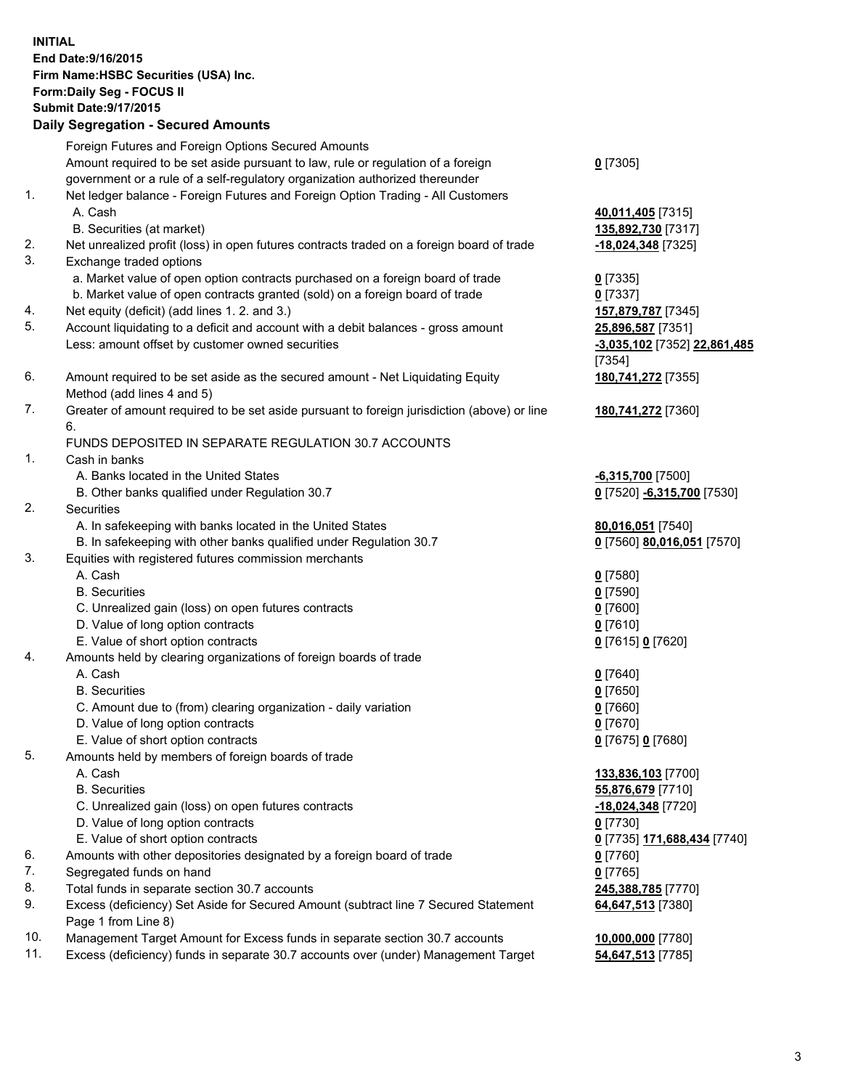**INITIAL End Date:9/16/2015 Firm Name:HSBC Securities (USA) Inc. Form:Daily Seg - FOCUS II Submit Date:9/17/2015 Daily Segregation - Secured Amounts** Foreign Futures and Foreign Options Secured Amounts Amount required to be set aside pursuant to law, rule or regulation of a foreign government or a rule of a self-regulatory organization authorized thereunder **0** [7305] 1. Net ledger balance - Foreign Futures and Foreign Option Trading - All Customers A. Cash **40,011,405** [7315] B. Securities (at market) **135,892,730** [7317] 2. Net unrealized profit (loss) in open futures contracts traded on a foreign board of trade **-18,024,348** [7325] 3. Exchange traded options a. Market value of open option contracts purchased on a foreign board of trade **0** [7335] b. Market value of open contracts granted (sold) on a foreign board of trade **0** [7337] 4. Net equity (deficit) (add lines 1. 2. and 3.) **157,879,787** [7345] 5. Account liquidating to a deficit and account with a debit balances - gross amount **25,896,587** [7351] Less: amount offset by customer owned securities **-3,035,102** [7352] **22,861,485** [7354] 6. Amount required to be set aside as the secured amount - Net Liquidating Equity Method (add lines 4 and 5) **180,741,272** [7355] 7. Greater of amount required to be set aside pursuant to foreign jurisdiction (above) or line 6. **180,741,272** [7360] FUNDS DEPOSITED IN SEPARATE REGULATION 30.7 ACCOUNTS 1. Cash in banks A. Banks located in the United States **-6,315,700** [7500] B. Other banks qualified under Regulation 30.7 **0** [7520] **-6,315,700** [7530] 2. Securities A. In safekeeping with banks located in the United States **80,016,051** [7540] B. In safekeeping with other banks qualified under Regulation 30.7 **0** [7560] **80,016,051** [7570] 3. Equities with registered futures commission merchants A. Cash **0** [7580] B. Securities **0** [7590] C. Unrealized gain (loss) on open futures contracts **0** [7600] D. Value of long option contracts **0** [7610] E. Value of short option contracts **0** [7615] **0** [7620] 4. Amounts held by clearing organizations of foreign boards of trade A. Cash **0** [7640] B. Securities **0** [7650] C. Amount due to (from) clearing organization - daily variation **0** [7660] D. Value of long option contracts **0** [7670] E. Value of short option contracts **0** [7675] **0** [7680] 5. Amounts held by members of foreign boards of trade A. Cash **133,836,103** [7700] B. Securities **55,876,679** [7710] C. Unrealized gain (loss) on open futures contracts **-18,024,348** [7720] D. Value of long option contracts **0** [7730] E. Value of short option contracts **0** [7735] **171,688,434** [7740] 6. Amounts with other depositories designated by a foreign board of trade **0** [7760] 7. Segregated funds on hand **0** [7765] 8. Total funds in separate section 30.7 accounts **245,388,785** [7770] 9. Excess (deficiency) Set Aside for Secured Amount (subtract line 7 Secured Statement Page 1 from Line 8) **64,647,513** [7380] 10. Management Target Amount for Excess funds in separate section 30.7 accounts **10,000,000** [7780]

11. Excess (deficiency) funds in separate 30.7 accounts over (under) Management Target **54,647,513** [7785]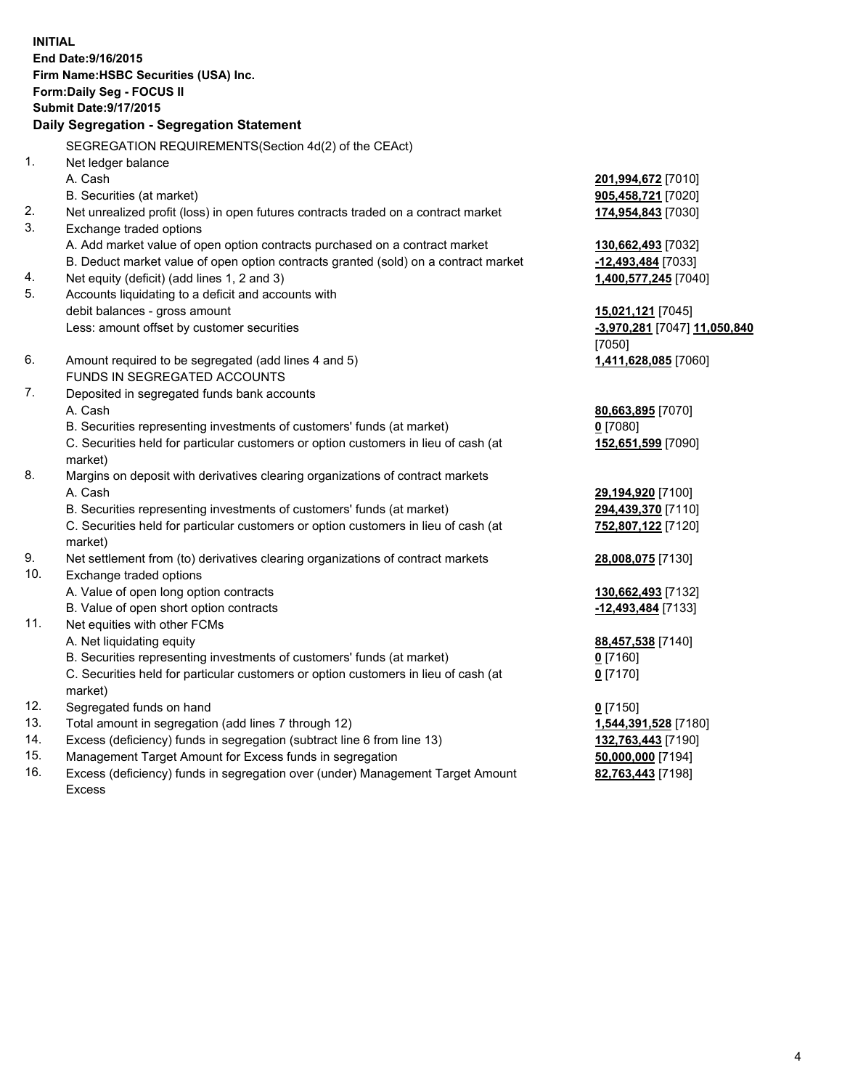**INITIAL End Date:9/16/2015 Firm Name:HSBC Securities (USA) Inc. Form:Daily Seg - FOCUS II Submit Date:9/17/2015 Daily Segregation - Segregation Statement** SEGREGATION REQUIREMENTS(Section 4d(2) of the CEAct) 1. Net ledger balance A. Cash **201,994,672** [7010] B. Securities (at market) **905,458,721** [7020] 2. Net unrealized profit (loss) in open futures contracts traded on a contract market **174,954,843** [7030] 3. Exchange traded options A. Add market value of open option contracts purchased on a contract market **130,662,493** [7032] B. Deduct market value of open option contracts granted (sold) on a contract market **-12,493,484** [7033] 4. Net equity (deficit) (add lines 1, 2 and 3) **1,400,577,245** [7040] 5. Accounts liquidating to a deficit and accounts with debit balances - gross amount **15,021,121** [7045] Less: amount offset by customer securities **-3,970,281** [7047] **11,050,840** [7050] 6. Amount required to be segregated (add lines 4 and 5) **1,411,628,085** [7060] FUNDS IN SEGREGATED ACCOUNTS 7. Deposited in segregated funds bank accounts A. Cash **80,663,895** [7070] B. Securities representing investments of customers' funds (at market) **0** [7080] C. Securities held for particular customers or option customers in lieu of cash (at market) **152,651,599** [7090] 8. Margins on deposit with derivatives clearing organizations of contract markets A. Cash **29,194,920** [7100] B. Securities representing investments of customers' funds (at market) **294,439,370** [7110] C. Securities held for particular customers or option customers in lieu of cash (at market) **752,807,122** [7120] 9. Net settlement from (to) derivatives clearing organizations of contract markets **28,008,075** [7130] 10. Exchange traded options A. Value of open long option contracts **130,662,493** [7132] B. Value of open short option contracts **-12,493,484** [7133] 11. Net equities with other FCMs A. Net liquidating equity **88,457,538** [7140] B. Securities representing investments of customers' funds (at market) **0** [7160] C. Securities held for particular customers or option customers in lieu of cash (at market) **0** [7170] 12. Segregated funds on hand **0** [7150] 13. Total amount in segregation (add lines 7 through 12) **1,544,391,528** [7180] 14. Excess (deficiency) funds in segregation (subtract line 6 from line 13) **132,763,443** [7190] 15. Management Target Amount for Excess funds in segregation **50,000,000** [7194] 16. Excess (deficiency) funds in segregation over (under) Management Target Amount **82,763,443** [7198]

Excess